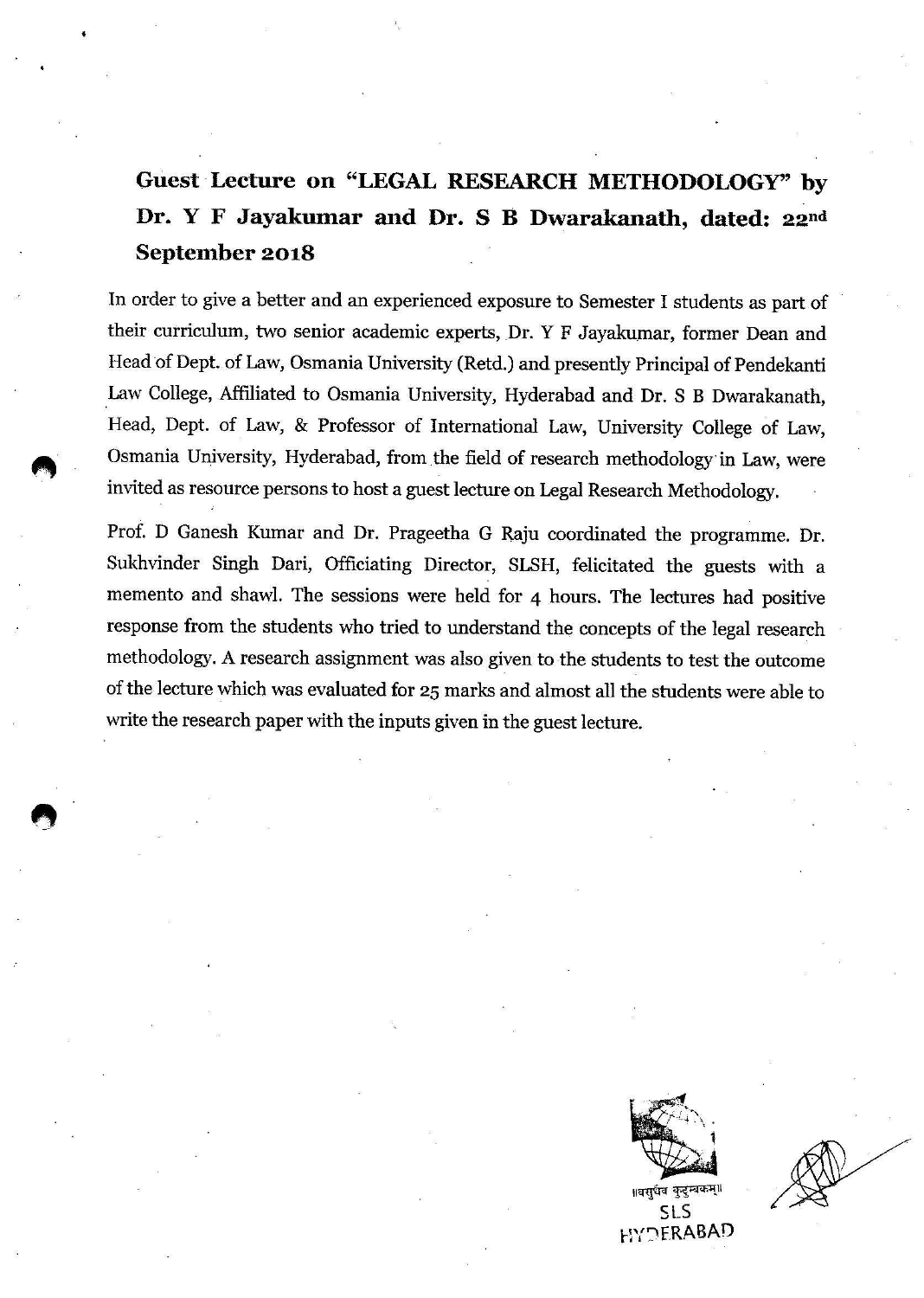# Guest Lecture on "LEGAL RESEARCH METHODOLOGY" by Dr. Y F Jayakumar and Dr. S B Dwarakanath, dated: 22nd September 2018

In order to give a better and an experienced exposure to Semester I students as part of their curriculum, two senior academic experts, Dr. Y F Jayakumar, former Dean and Head of Dept. of Law, Osmania University (Retd.) and presently Principal of Pendekanti Law College, Affiliated to Osmania University, Hyderabad and Dr. S B Dwarakanath, Head, Dept. of Law, & Professor of International Law, University College of Law. Osmania University, Hyderabad, from the field of research methodology in Law, were invited as resource persons to host a guest lecture on Legal Research Methodology.

Prof. D Ganesh Kumar and Dr. Prageetha G Raju coordinated the programme. Dr. Sukhvinder Singh Dari, Officiating Director, SLSH, felicitated the guests with a memento and shawl. The sessions were held for 4 hours. The lectures had positive response from the students who tried to understand the concepts of the legal research methodology. A research assignment was also given to the students to test the outcome of the lecture which was evaluated for 25 marks and almost all the students were able to write the research paper with the inputs given in the guest lecture.



 $515$ **HYDERABAD**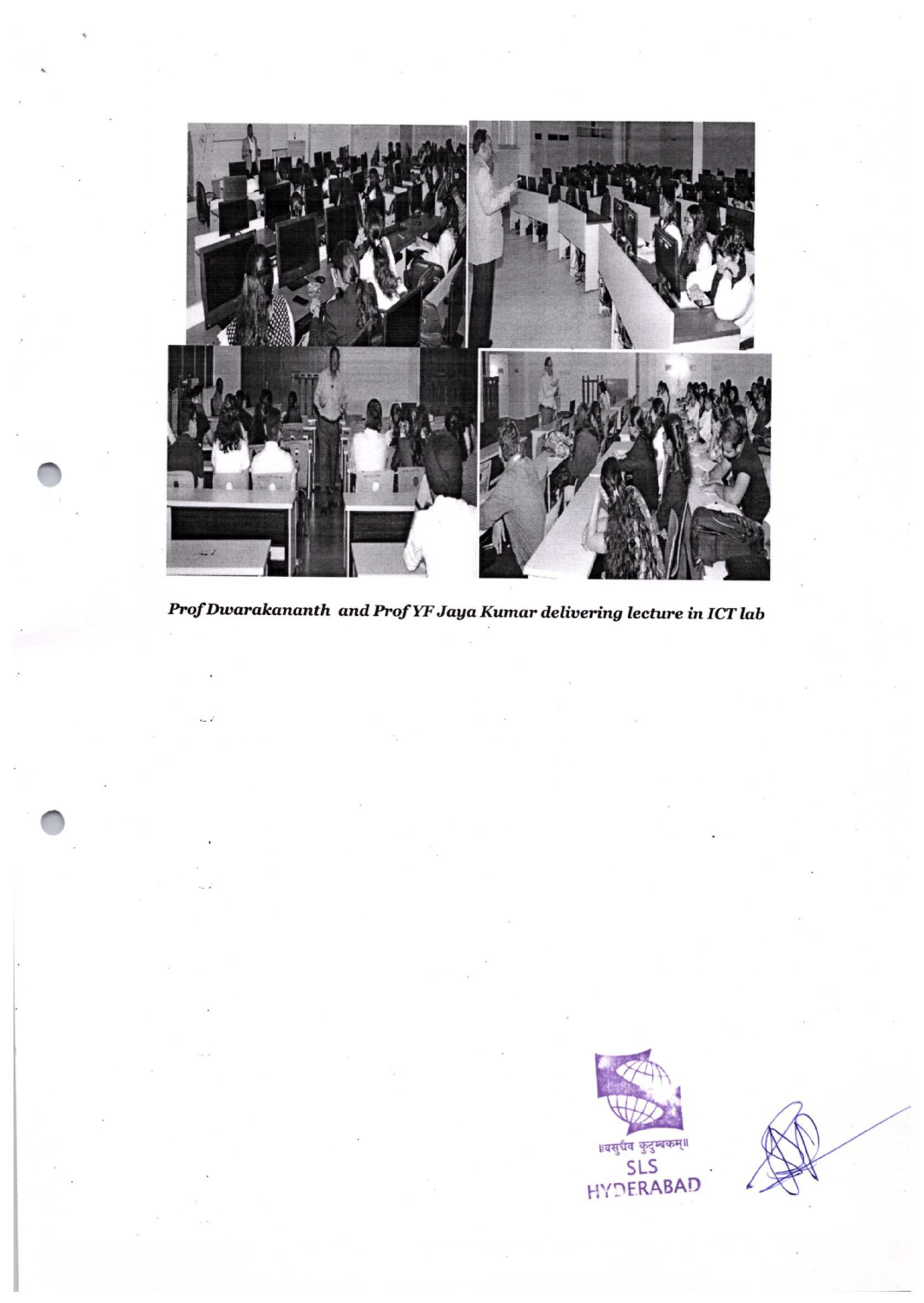

Prof Dwarakananth and Prof YF Jaya Kumar delivering lecture in ICT lab

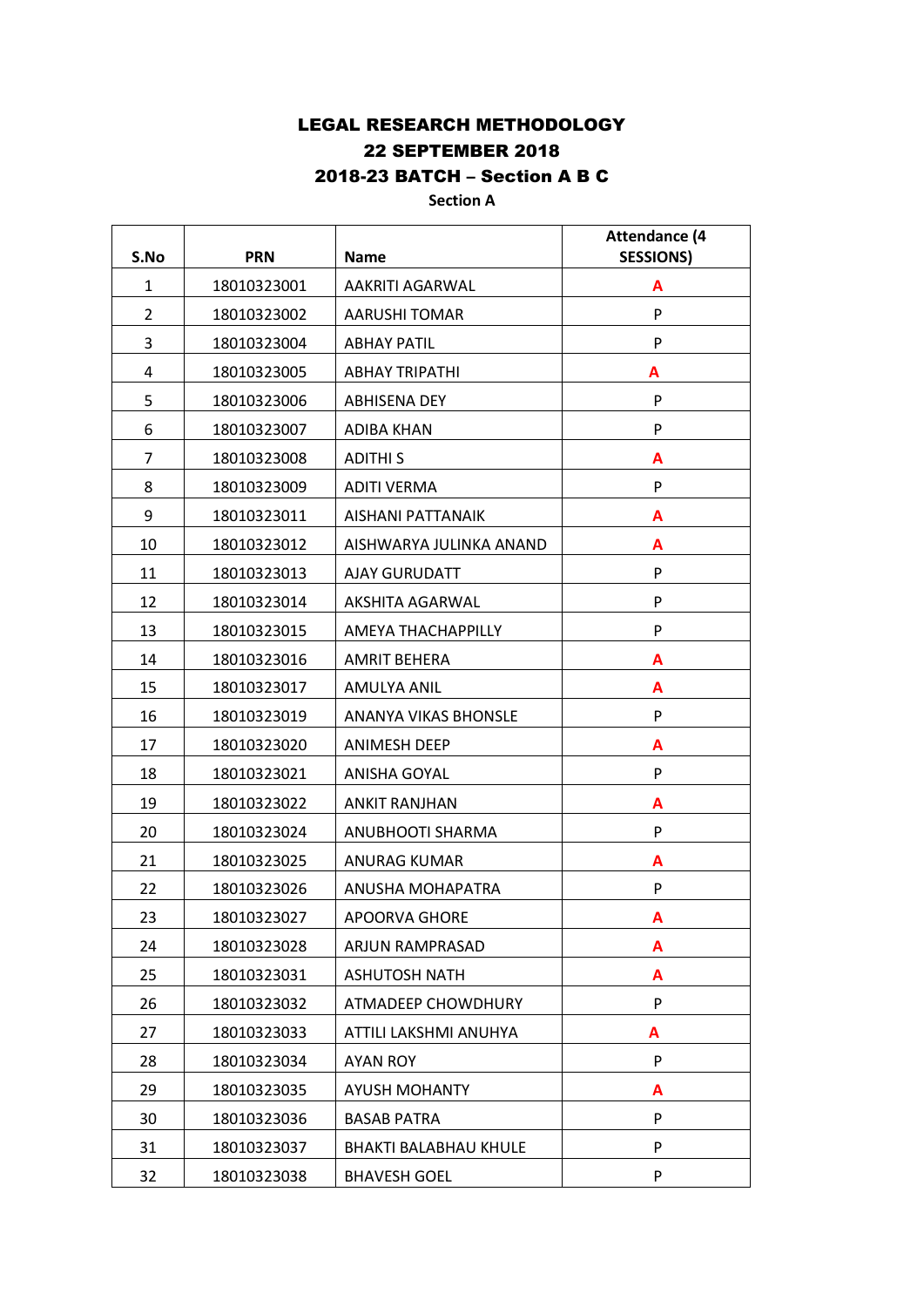# LEGAL RESEARCH METHODOLOGY 22 SEPTEMBER 2018 2018-23 BATCH – Section A B C

## **Section A**

| S.No         | <b>PRN</b>  | <b>Name</b>                  | <b>Attendance (4</b><br><b>SESSIONS)</b> |
|--------------|-------------|------------------------------|------------------------------------------|
| $\mathbf{1}$ | 18010323001 | AAKRITI AGARWAL              | A                                        |
| 2            | 18010323002 | <b>AARUSHI TOMAR</b>         | P                                        |
| 3            | 18010323004 | <b>ABHAY PATIL</b>           | P                                        |
| 4            | 18010323005 | <b>ABHAY TRIPATHI</b>        | A                                        |
| 5            | 18010323006 | <b>ABHISENA DEY</b>          | P                                        |
| 6            | 18010323007 | <b>ADIBA KHAN</b>            | P                                        |
| 7            | 18010323008 | <b>ADITHIS</b>               | A                                        |
| 8            | 18010323009 | <b>ADITI VERMA</b>           | P                                        |
| 9            | 18010323011 | AISHANI PATTANAIK            | Α                                        |
| 10           | 18010323012 | AISHWARYA JULINKA ANAND      | A                                        |
| 11           | 18010323013 | <b>AJAY GURUDATT</b>         | P                                        |
| 12           | 18010323014 | AKSHITA AGARWAL              | P                                        |
| 13           | 18010323015 | AMEYA THACHAPPILLY           | P                                        |
| 14           | 18010323016 | <b>AMRIT BEHERA</b>          | A                                        |
| 15           | 18010323017 | AMULYA ANIL                  | A                                        |
| 16           | 18010323019 | <b>ANANYA VIKAS BHONSLE</b>  | P                                        |
| 17           | 18010323020 | <b>ANIMESH DEEP</b>          | A                                        |
| 18           | 18010323021 | ANISHA GOYAL                 | P                                        |
| 19           | 18010323022 | <b>ANKIT RANJHAN</b>         | A                                        |
| 20           | 18010323024 | ANUBHOOTI SHARMA             | P                                        |
| 21           | 18010323025 | <b>ANURAG KUMAR</b>          | A                                        |
| 22           | 18010323026 | ANUSHA MOHAPATRA             | P                                        |
| 23           | 18010323027 | APOORVA GHORE                | A                                        |
| 24           | 18010323028 | ARJUN RAMPRASAD              | A                                        |
| 25           | 18010323031 | <b>ASHUTOSH NATH</b>         | A                                        |
| 26           | 18010323032 | ATMADEEP CHOWDHURY           | P                                        |
| 27           | 18010323033 | ATTILI LAKSHMI ANUHYA        | A                                        |
| 28           | 18010323034 | <b>AYAN ROY</b>              | P                                        |
| 29           | 18010323035 | <b>AYUSH MOHANTY</b>         | A                                        |
| 30           | 18010323036 | <b>BASAB PATRA</b>           | P                                        |
| 31           | 18010323037 | <b>BHAKTI BALABHAU KHULE</b> | P                                        |
| 32           | 18010323038 | <b>BHAVESH GOEL</b>          | P                                        |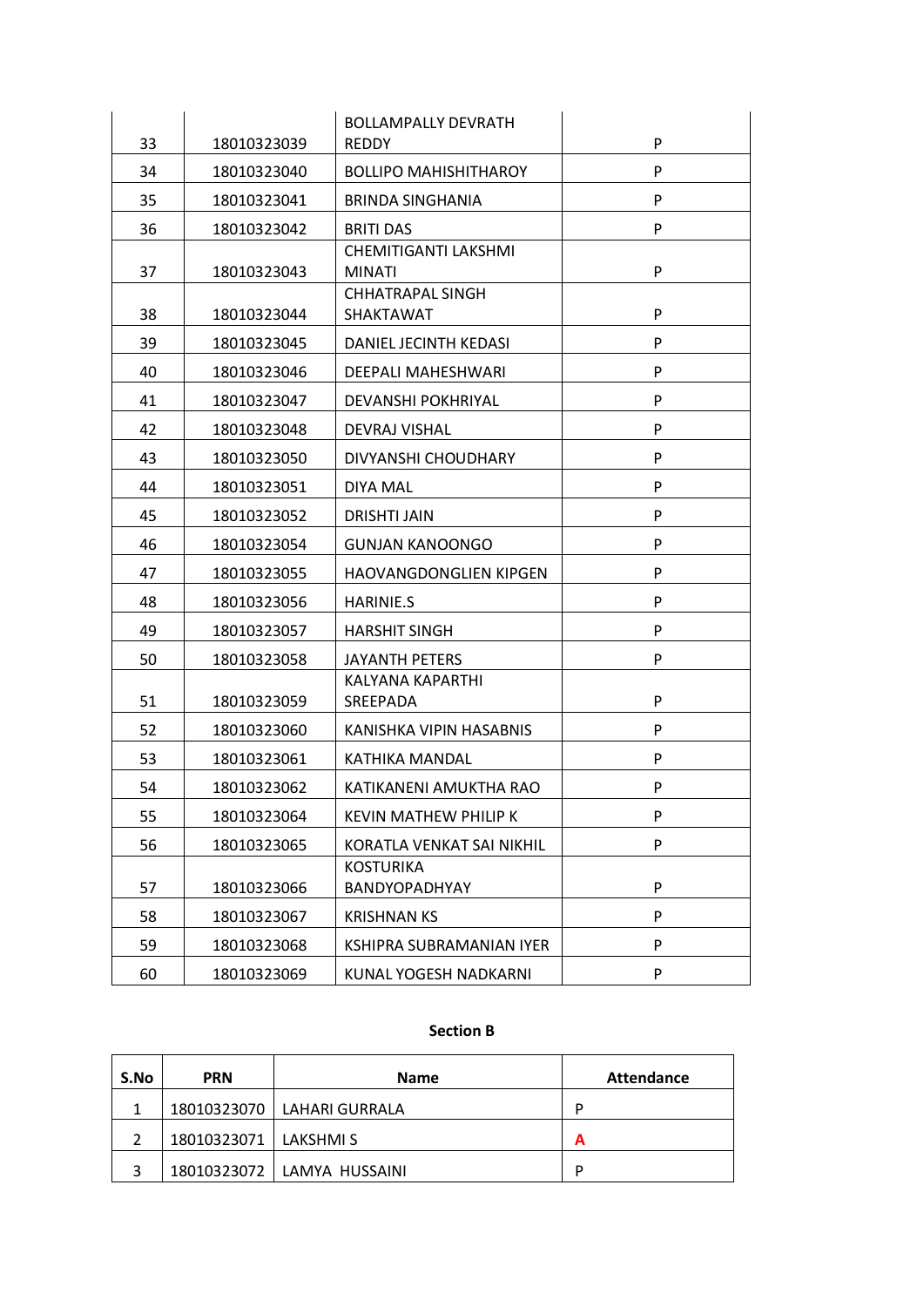|    |             | <b>BOLLAMPALLY DEVRATH</b>                  |   |
|----|-------------|---------------------------------------------|---|
| 33 | 18010323039 | <b>REDDY</b>                                | P |
| 34 | 18010323040 | <b>BOLLIPO MAHISHITHAROY</b>                | P |
| 35 | 18010323041 | <b>BRINDA SINGHANIA</b>                     | P |
| 36 | 18010323042 | <b>BRITI DAS</b>                            | P |
| 37 | 18010323043 | CHEMITIGANTI LAKSHMI<br><b>MINATI</b>       | P |
| 38 | 18010323044 | <b>CHHATRAPAL SINGH</b><br><b>SHAKTAWAT</b> | P |
| 39 | 18010323045 | DANIEL JECINTH KEDASI                       | P |
| 40 | 18010323046 | <b>DEEPALI MAHESHWARI</b>                   | P |
| 41 | 18010323047 | DEVANSHI POKHRIYAL                          | P |
| 42 | 18010323048 | DEVRAJ VISHAL                               | P |
| 43 | 18010323050 | DIVYANSHI CHOUDHARY                         | P |
| 44 | 18010323051 | DIYA MAL                                    | P |
| 45 | 18010323052 | <b>DRISHTI JAIN</b>                         | P |
| 46 | 18010323054 | <b>GUNJAN KANOONGO</b>                      | P |
| 47 | 18010323055 | HAOVANGDONGLIEN KIPGEN                      | P |
| 48 | 18010323056 | <b>HARINIE.S</b>                            | P |
| 49 | 18010323057 | <b>HARSHIT SINGH</b>                        | P |
| 50 | 18010323058 | <b>JAYANTH PETERS</b>                       | P |
| 51 | 18010323059 | KALYANA KAPARTHI<br>SREEPADA                | P |
| 52 | 18010323060 | KANISHKA VIPIN HASABNIS                     | P |
| 53 | 18010323061 | <b>KATHIKA MANDAL</b>                       | P |
| 54 | 18010323062 | KATIKANENI AMUKTHA RAO                      | P |
| 55 | 18010323064 | <b>KEVIN MATHEW PHILIP K</b>                | P |
| 56 | 18010323065 | KORATLA VENKAT SAI NIKHIL                   | P |
| 57 | 18010323066 | <b>KOSTURIKA</b><br>BANDYOPADHYAY           | P |
| 58 | 18010323067 | <b>KRISHNAN KS</b>                          | P |
| 59 | 18010323068 | KSHIPRA SUBRAMANIAN IYER                    | P |
| 60 | 18010323069 | KUNAL YOGESH NADKARNI                       | P |

### **Section B**

| S.No | <b>PRN</b><br><b>Name</b> |                              | <b>Attendance</b> |
|------|---------------------------|------------------------------|-------------------|
|      |                           | 18010323070 LAHARI GURRALA   | D                 |
|      | 18010323071   LAKSHMI S   |                              | А                 |
|      |                           | 18010323072   LAMYA HUSSAINI | D                 |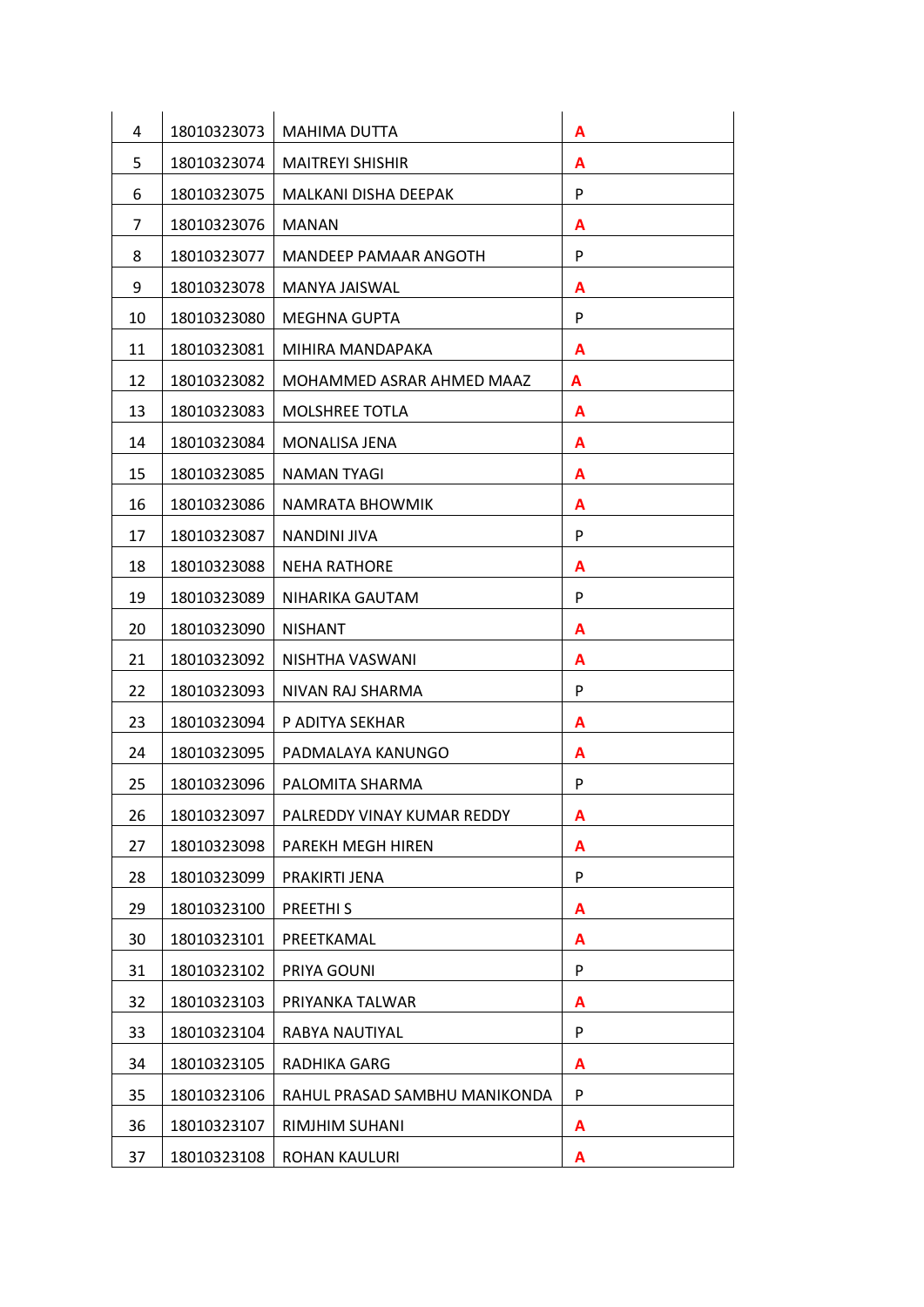| 4  | 18010323073 | <b>MAHIMA DUTTA</b>           | A |
|----|-------------|-------------------------------|---|
| 5  | 18010323074 | <b>MAITREYI SHISHIR</b>       | A |
| 6  | 18010323075 | <b>MALKANI DISHA DEEPAK</b>   | P |
| 7  | 18010323076 | <b>MANAN</b>                  | A |
| 8  | 18010323077 | MANDEEP PAMAAR ANGOTH         | P |
| 9  | 18010323078 | MANYA JAISWAL                 | A |
| 10 | 18010323080 | MEGHNA GUPTA                  | P |
| 11 | 18010323081 | MIHIRA MANDAPAKA              | A |
| 12 | 18010323082 | MOHAMMED ASRAR AHMED MAAZ     | A |
| 13 | 18010323083 | <b>MOLSHREE TOTLA</b>         | A |
| 14 | 18010323084 | <b>MONALISA JENA</b>          | A |
| 15 | 18010323085 | <b>NAMAN TYAGI</b>            | A |
| 16 | 18010323086 | NAMRATA BHOWMIK               | A |
| 17 | 18010323087 | NANDINI JIVA                  | P |
| 18 | 18010323088 | <b>NEHA RATHORE</b>           | A |
| 19 | 18010323089 | NIHARIKA GAUTAM               | P |
| 20 | 18010323090 | <b>NISHANT</b>                | A |
| 21 | 18010323092 | NISHTHA VASWANI               | A |
| 22 | 18010323093 | NIVAN RAJ SHARMA              | P |
| 23 | 18010323094 | P ADITYA SEKHAR               | A |
| 24 | 18010323095 | PADMALAYA KANUNGO             | A |
| 25 | 18010323096 | PALOMITA SHARMA               | P |
| 26 | 18010323097 | PALREDDY VINAY KUMAR REDDY    | A |
| 27 | 18010323098 | PAREKH MEGH HIREN             | A |
| 28 | 18010323099 | PRAKIRTI JENA                 | P |
| 29 | 18010323100 | PREETHI <sub>S</sub>          | A |
| 30 | 18010323101 | PREETKAMAL                    | A |
| 31 | 18010323102 | PRIYA GOUNI                   | P |
| 32 | 18010323103 | PRIYANKA TALWAR               | A |
| 33 | 18010323104 | RABYA NAUTIYAL                | P |
| 34 | 18010323105 | RADHIKA GARG                  | A |
| 35 | 18010323106 | RAHUL PRASAD SAMBHU MANIKONDA | P |
| 36 | 18010323107 | RIMJHIM SUHANI                | A |
| 37 | 18010323108 | ROHAN KAULURI                 | A |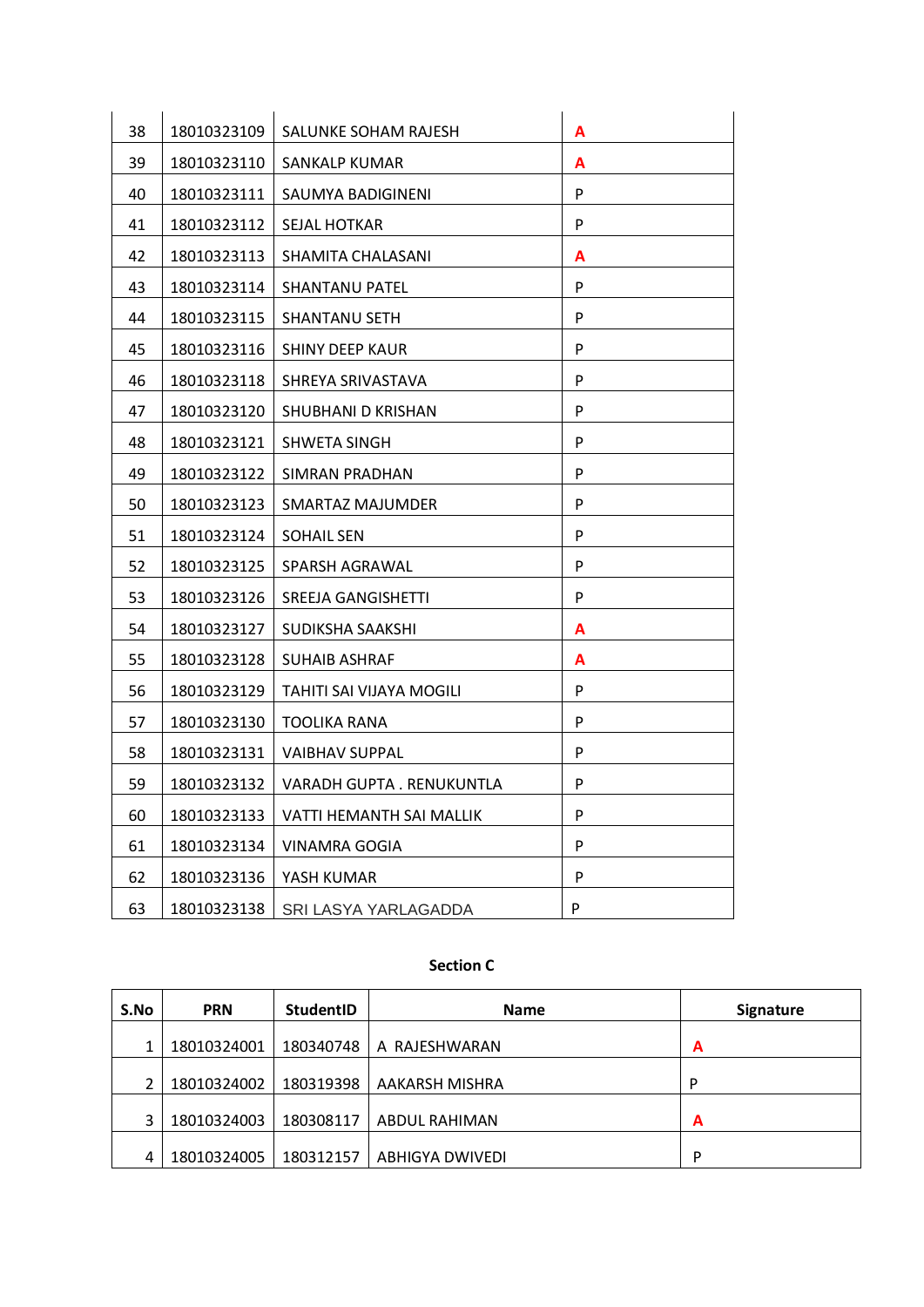| 38 | 18010323109 | SALUNKE SOHAM RAJESH      | A |
|----|-------------|---------------------------|---|
| 39 | 18010323110 | SANKALP KUMAR             | A |
| 40 | 18010323111 | SAUMYA BADIGINENI         | P |
| 41 | 18010323112 | SEJAL HOTKAR              | P |
| 42 | 18010323113 | SHAMITA CHALASANI         | A |
| 43 | 18010323114 | SHANTANU PATEL            | P |
| 44 | 18010323115 | SHANTANU SETH             | P |
| 45 | 18010323116 | <b>SHINY DEEP KAUR</b>    | P |
| 46 | 18010323118 | SHREYA SRIVASTAVA         | P |
| 47 | 18010323120 | SHUBHANI D KRISHAN        | P |
| 48 | 18010323121 | SHWETA SINGH              | P |
| 49 | 18010323122 | SIMRAN PRADHAN            | P |
| 50 | 18010323123 | SMARTAZ MAJUMDER          | P |
| 51 | 18010323124 | SOHAIL SEN                | P |
| 52 | 18010323125 | SPARSH AGRAWAL            | P |
| 53 | 18010323126 | SREEJA GANGISHETTI        | P |
| 54 | 18010323127 | SUDIKSHA SAAKSHI          | Α |
| 55 | 18010323128 | <b>SUHAIB ASHRAF</b>      | A |
| 56 | 18010323129 | TAHITI SAI VIJAYA MOGILI  | P |
| 57 | 18010323130 | TOOLIKA RANA              | P |
| 58 | 18010323131 | VAIBHAV SUPPAL            | P |
| 59 | 18010323132 | VARADH GUPTA . RENUKUNTLA | P |
| 60 | 18010323133 | VATTI HEMANTH SAI MALLIK  | P |
| 61 | 18010323134 | VINAMRA GOGIA             | P |
| 62 | 18010323136 | YASH KUMAR                | P |
| 63 | 18010323138 | SRI LASYA YARLAGADDA      | P |

### **Section C**

| S.No | <b>PRN</b>  | StudentID | <b>Name</b>     | <b>Signature</b> |
|------|-------------|-----------|-----------------|------------------|
|      | 18010324001 | 180340748 | A RAJESHWARAN   | A                |
|      | 18010324002 | 180319398 | AAKARSH MISHRA  | D                |
|      | 18010324003 | 180308117 | ABDUL RAHIMAN   | A                |
|      | 18010324005 | 180312157 | ABHIGYA DWIVEDI | P                |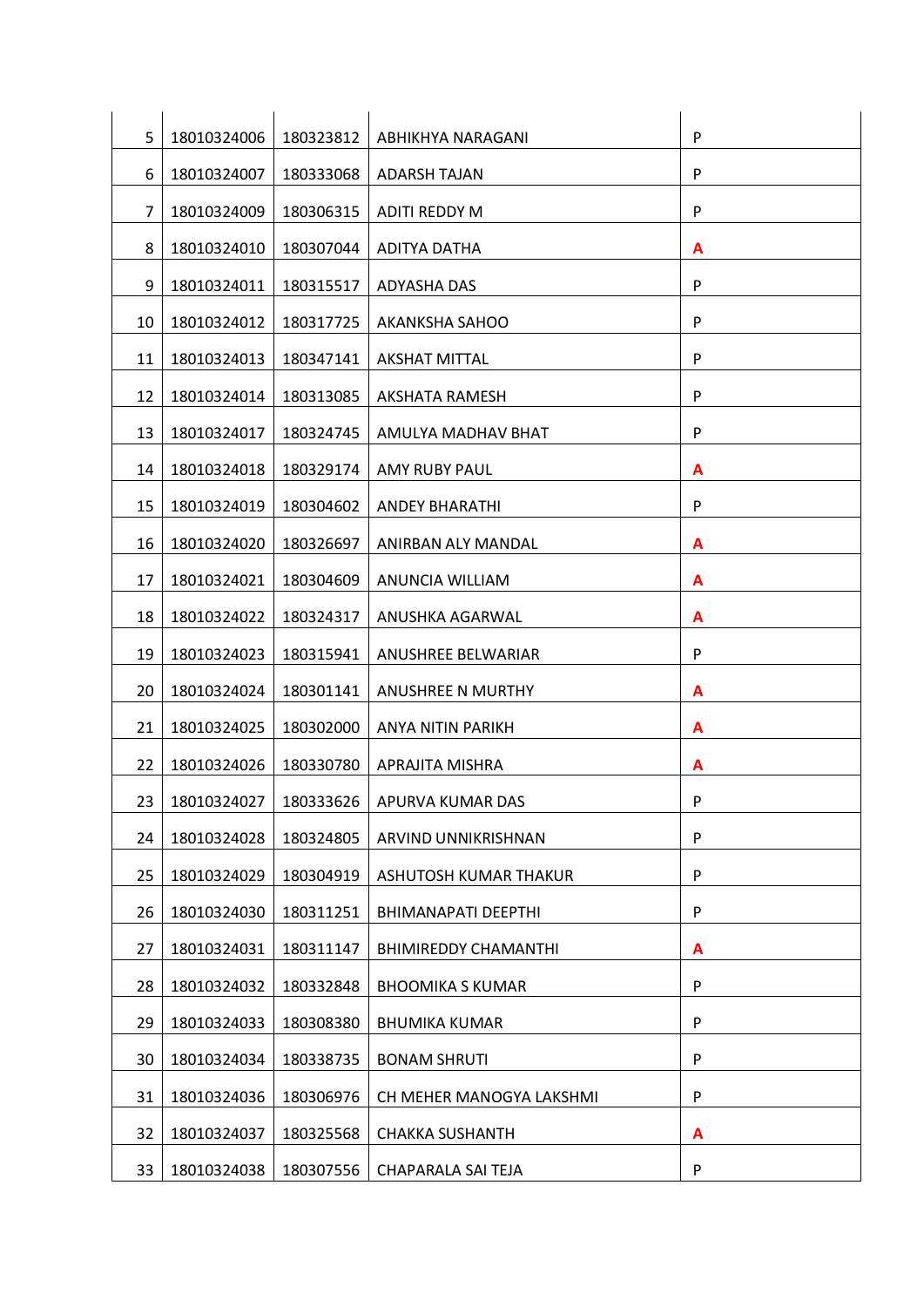| 5  | 18010324006 | 180323812 | ABHIKHYA NARAGANI           | P            |
|----|-------------|-----------|-----------------------------|--------------|
| 6  | 18010324007 | 180333068 | <b>ADARSH TAJAN</b>         | P            |
| 7  | 18010324009 | 180306315 | <b>ADITI REDDY M</b>        | P            |
| 8  | 18010324010 | 180307044 | <b>ADITYA DATHA</b>         | A            |
| 9  | 18010324011 | 180315517 | <b>ADYASHA DAS</b>          | P            |
| 10 | 18010324012 | 180317725 | AKANKSHA SAHOO              | P            |
| 11 | 18010324013 | 180347141 | <b>AKSHAT MITTAL</b>        | P            |
| 12 | 18010324014 | 180313085 | <b>AKSHATA RAMESH</b>       | P            |
| 13 | 18010324017 | 180324745 | AMULYA MADHAV BHAT          | P            |
| 14 | 18010324018 | 180329174 | <b>AMY RUBY PAUL</b>        | A            |
| 15 | 18010324019 | 180304602 | <b>ANDEY BHARATHI</b>       | P            |
| 16 | 18010324020 | 180326697 | ANIRBAN ALY MANDAL          | A            |
| 17 | 18010324021 | 180304609 | ANUNCIA WILLIAM             | A            |
| 18 | 18010324022 | 180324317 | ANUSHKA AGARWAL             | A            |
| 19 | 18010324023 | 180315941 | ANUSHREE BELWARIAR          | $\mathsf{P}$ |
| 20 | 18010324024 | 180301141 | <b>ANUSHREE N MURTHY</b>    | A            |
| 21 | 18010324025 | 180302000 | ANYA NITIN PARIKH           | A            |
| 22 | 18010324026 | 180330780 | APRAJITA MISHRA             | A            |
| 23 | 18010324027 | 180333626 | APURVA KUMAR DAS            | P            |
| 24 | 18010324028 | 180324805 | ARVIND UNNIKRISHNAN         | P            |
| 25 | 18010324029 | 180304919 | ASHUTOSH KUMAR THAKUR       | $\mathsf{P}$ |
| 26 | 18010324030 | 180311251 | BHIMANAPATI DEEPTHI         | $\mathsf{P}$ |
| 27 | 18010324031 | 180311147 | <b>BHIMIREDDY CHAMANTHI</b> | A            |
| 28 | 18010324032 | 180332848 | <b>BHOOMIKA S KUMAR</b>     | ${\sf P}$    |
| 29 | 18010324033 | 180308380 | <b>BHUMIKA KUMAR</b>        | P            |
| 30 | 18010324034 | 180338735 | <b>BONAM SHRUTI</b>         | P            |
| 31 | 18010324036 | 180306976 | CH MEHER MANOGYA LAKSHMI    | P            |
| 32 | 18010324037 | 180325568 | <b>CHAKKA SUSHANTH</b>      | A            |
| 33 | 18010324038 | 180307556 | CHAPARALA SAI TEJA          | P            |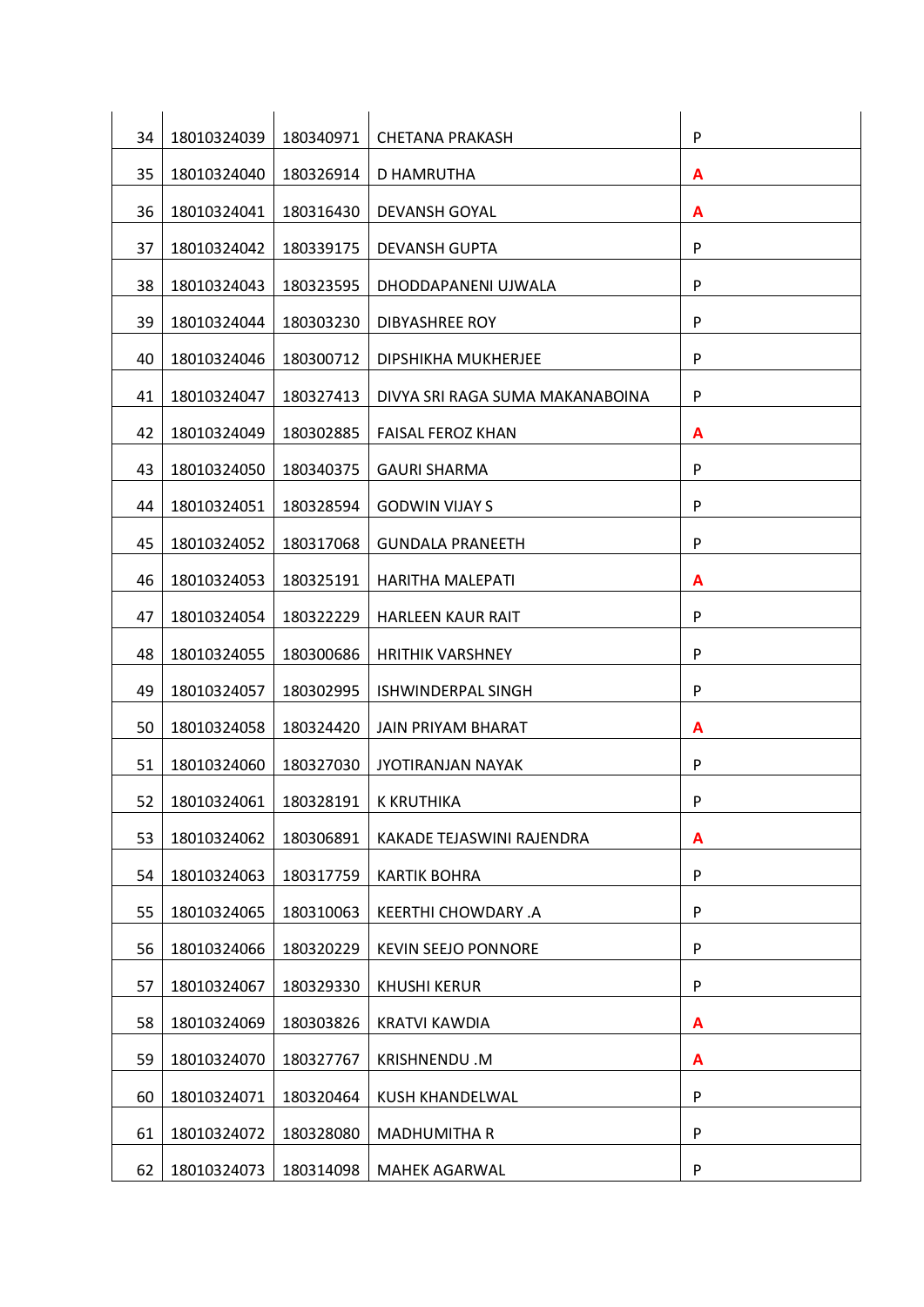| 34 | 18010324039 | 180340971 | <b>CHETANA PRAKASH</b>          | P            |
|----|-------------|-----------|---------------------------------|--------------|
| 35 | 18010324040 | 180326914 | D HAMRUTHA                      | A            |
| 36 | 18010324041 | 180316430 | <b>DEVANSH GOYAL</b>            | A            |
| 37 | 18010324042 | 180339175 | <b>DEVANSH GUPTA</b>            | P            |
| 38 | 18010324043 | 180323595 | DHODDAPANENI UJWALA             | P            |
| 39 | 18010324044 | 180303230 | <b>DIBYASHREE ROY</b>           | P            |
| 40 | 18010324046 | 180300712 | DIPSHIKHA MUKHERJEE             | P            |
| 41 | 18010324047 | 180327413 | DIVYA SRI RAGA SUMA MAKANABOINA | P            |
| 42 | 18010324049 | 180302885 | <b>FAISAL FEROZ KHAN</b>        | A            |
| 43 | 18010324050 | 180340375 | <b>GAURI SHARMA</b>             | P            |
| 44 | 18010324051 | 180328594 | <b>GODWIN VIJAY S</b>           | P            |
| 45 | 18010324052 | 180317068 | <b>GUNDALA PRANEETH</b>         | P            |
| 46 | 18010324053 | 180325191 | HARITHA MALEPATI                | A            |
| 47 | 18010324054 | 180322229 | <b>HARLEEN KAUR RAIT</b>        | ${\sf P}$    |
| 48 | 18010324055 | 180300686 | <b>HRITHIK VARSHNEY</b>         | $\mathsf{P}$ |
| 49 | 18010324057 | 180302995 | <b>ISHWINDERPAL SINGH</b>       | P            |
| 50 | 18010324058 | 180324420 | <b>JAIN PRIYAM BHARAT</b>       | A            |
| 51 | 18010324060 | 180327030 | <b>JYOTIRANJAN NAYAK</b>        | P            |
| 52 | 18010324061 | 180328191 | K KRUTHIKA                      | P            |
| 53 | 18010324062 | 180306891 | KAKADE TEJASWINI RAJENDRA       | A            |
| 54 | 18010324063 | 180317759 | <b>KARTIK BOHRA</b>             | ${\sf P}$    |
| 55 | 18010324065 | 180310063 | <b>KEERTHI CHOWDARY .A</b>      | $\mathsf{P}$ |
| 56 | 18010324066 | 180320229 | <b>KEVIN SEEJO PONNORE</b>      | ${\sf P}$    |
| 57 | 18010324067 | 180329330 | <b>KHUSHI KERUR</b>             | ${\sf P}$    |
| 58 | 18010324069 | 180303826 | <b>KRATVI KAWDIA</b>            | A            |
| 59 | 18010324070 | 180327767 | KRISHNENDU.M                    | A            |
| 60 | 18010324071 | 180320464 | KUSH KHANDELWAL                 | P            |
| 61 | 18010324072 | 180328080 | <b>MADHUMITHA R</b>             | P            |
| 62 | 18010324073 | 180314098 | <b>MAHEK AGARWAL</b>            | P            |